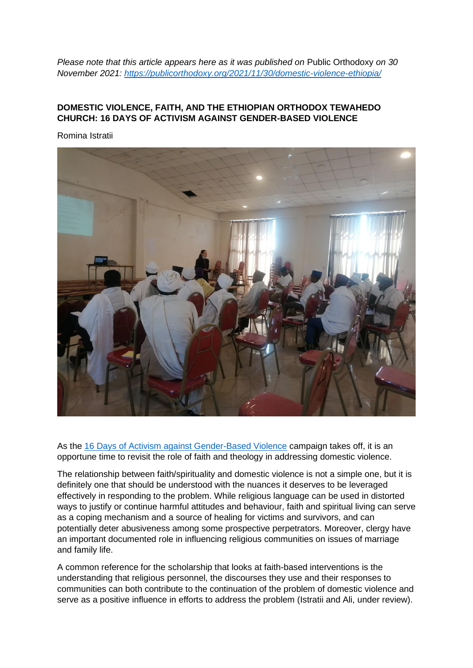*Please note that this article appears here as it was published on Public Orthodoxy on 30 November 2021:<https://publicorthodoxy.org/2021/11/30/domestic-violence-ethiopia/>*

## **DOMESTIC VIOLENCE, FAITH, AND THE ETHIOPIAN ORTHODOX TEWAHEDO CHURCH: 16 DAYS OF ACTIVISM AGAINST GENDER-BASED VIOLENCE**

Romina Istratii



As the [16 Days of Activism against Gender-Based Violence](https://www.unwomen.org/en/what-we-do/ending-violence-against-women/take-action/16-days-of-activism) campaign takes off, it is an opportune time to revisit the role of faith and theology in addressing domestic violence.

The relationship between faith/spirituality and domestic violence is not a simple one, but it is definitely one that should be understood with the nuances it deserves to be leveraged effectively in responding to the problem. While religious language can be used in distorted ways to justify or continue harmful attitudes and behaviour, faith and spiritual living can serve as a coping mechanism and a source of healing for victims and survivors, and can potentially deter abusiveness among some prospective perpetrators. Moreover, clergy have an important documented role in influencing religious communities on issues of marriage and family life.

A common reference for the scholarship that looks at faith-based interventions is the understanding that religious personnel, the discourses they use and their responses to communities can both contribute to the continuation of the problem of domestic violence and serve as a positive influence in efforts to address the problem (Istratii and Ali, under review).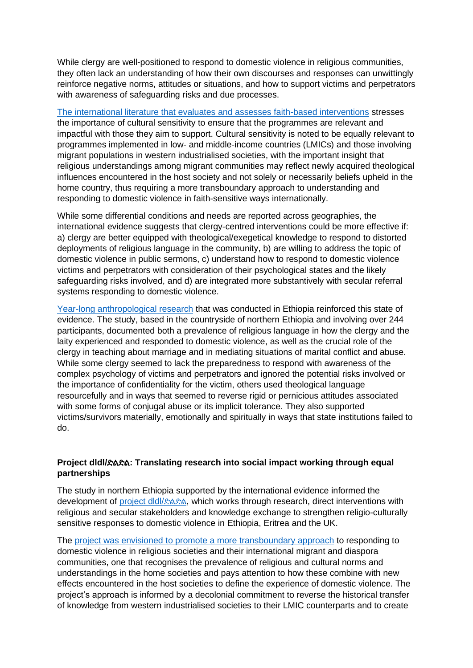While clergy are well-positioned to respond to domestic violence in religious communities, they often lack an understanding of how their own discourses and responses can unwittingly reinforce negative norms, attitudes or situations, and how to support victims and perpetrators with awareness of safeguarding risks and due processes.

[The international literature that evaluates and assesses faith-based interventions](https://eprints.soas.ac.uk/35796/1/Presentation_28%20October%202021.pdf) stresses the importance of cultural sensitivity to ensure that the programmes are relevant and impactful with those they aim to support. Cultural sensitivity is noted to be equally relevant to programmes implemented in low- and middle-income countries (LMICs) and those involving migrant populations in western industrialised societies, with the important insight that religious understandings among migrant communities may reflect newly acquired theological influences encountered in the host society and not solely or necessarily beliefs upheld in the home country, thus requiring a more transboundary approach to understanding and responding to domestic violence in faith-sensitive ways internationally.

While some differential conditions and needs are reported across geographies, the international evidence suggests that clergy-centred interventions could be more effective if: a) clergy are better equipped with theological/exegetical knowledge to respond to distorted deployments of religious language in the community, b) are willing to address the topic of domestic violence in public sermons, c) understand how to respond to domestic violence victims and perpetrators with consideration of their psychological states and the likely safeguarding risks involved, and d) are integrated more substantively with secular referral systems responding to domestic violence.

[Year-long anthropological research](https://www.taylorfrancis.com/books/mono/10.4324/9781003006992/adapting-gender-development-local-religious-contexts-romina-istratii) that was conducted in Ethiopia reinforced this state of evidence. The study, based in the countryside of northern Ethiopia and involving over 244 participants, documented both a prevalence of religious language in how the clergy and the laity experienced and responded to domestic violence, as well as the crucial role of the clergy in teaching about marriage and in mediating situations of marital conflict and abuse. While some clergy seemed to lack the preparedness to respond with awareness of the complex psychology of victims and perpetrators and ignored the potential risks involved or the importance of confidentiality for the victim, others used theological language resourcefully and in ways that seemed to reverse rigid or pernicious attitudes associated with some forms of conjugal abuse or its implicit tolerance. They also supported victims/survivors materially, emotionally and spiritually in ways that state institutions failed to do.

## **Project dldl/**ድልድል**: Translating research into social impact working through equal partnerships**

The study in northern Ethiopia supported by the international evidence informed the development of [project dldl/](https://projectdldl.org/)[ድልድል](https://projectdldl.org/), which works through research, direct interventions with religious and secular stakeholders and knowledge exchange to strengthen religio-culturally sensitive responses to domestic violence in Ethiopia, Eritrea and the UK.

The project [was envisioned to promote a more transboundary approach](https://eprints.soas.ac.uk/35792/1/Decolonising%20methodologies%20in%20migration%20research_Dr%20Romina%20Istratii.pdf) to responding to domestic violence in religious societies and their international migrant and diaspora communities, one that recognises the prevalence of religious and cultural norms and understandings in the home societies and pays attention to how these combine with new effects encountered in the host societies to define the experience of domestic violence. The project's approach is informed by a decolonial commitment to reverse the historical transfer of knowledge from western industrialised societies to their LMIC counterparts and to create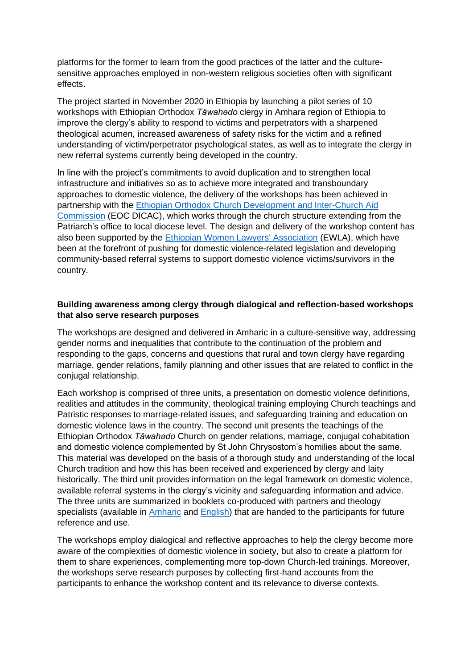platforms for the former to learn from the good practices of the latter and the culturesensitive approaches employed in non-western religious societies often with significant effects.

The project started in November 2020 in Ethiopia by launching a pilot series of 10 workshops with Ethiopian Orthodox *Täwahәdo* clergy in Amhara region of Ethiopia to improve the clergy's ability to respond to victims and perpetrators with a sharpened theological acumen, increased awareness of safety risks for the victim and a refined understanding of victim/perpetrator psychological states, as well as to integrate the clergy in new referral systems currently being developed in the country.

In line with the project's commitments to avoid duplication and to strengthen local infrastructure and initiatives so as to achieve more integrated and transboundary approaches to domestic violence, the delivery of the workshops has been achieved in partnership with the [Ethiopian Orthodox Church Development and Inter-Church Aid](http://eotcdicac.org/)  [Commission](http://eotcdicac.org/) (EOC DICAC), which works through the church structure extending from the Patriarch's office to local diocese level. The design and delivery of the workshop content has also been supported by the [Ethiopian Women Lawyers' Association](https://ewla-et.org/) (EWLA), which have been at the forefront of pushing for domestic violence-related legislation and developing community-based referral systems to support domestic violence victims/survivors in the country.

## **Building awareness among clergy through dialogical and reflection-based workshops that also serve research purposes**

The workshops are designed and delivered in Amharic in a culture-sensitive way, addressing gender norms and inequalities that contribute to the continuation of the problem and responding to the gaps, concerns and questions that rural and town clergy have regarding marriage, gender relations, family planning and other issues that are related to conflict in the conjugal relationship.

Each workshop is comprised of three units, a presentation on domestic violence definitions, realities and attitudes in the community, theological training employing Church teachings and Patristic responses to marriage-related issues, and safeguarding training and education on domestic violence laws in the country. The second unit presents the teachings of the Ethiopian Orthodox *Täwahәdo* Church on gender relations, marriage, conjugal cohabitation and domestic violence complemented by St John Chrysostom's homilies about the same. This material was developed on the basis of a thorough study and understanding of the local Church tradition and how this has been received and experienced by clergy and laity historically. The third unit provides information on the legal framework on domestic violence, available referral systems in the clergy's vicinity and safeguarding information and advice. The three units are summarized in booklets co-produced with partners and theology specialists (available in [Amharic](https://projectdldl.org/wp-content/uploads/2021/06/Booklet_final_Amharic_edited_fin.pdf) and [English\)](https://projectdldl.org/wp-content/uploads/2021/06/Booklet_final_English%E2%80%94PDF.pdf) that are handed to the participants for future reference and use.

The workshops employ dialogical and reflective approaches to help the clergy become more aware of the complexities of domestic violence in society, but also to create a platform for them to share experiences, complementing more top-down Church-led trainings. Moreover, the workshops serve research purposes by collecting first-hand accounts from the participants to enhance the workshop content and its relevance to diverse contexts.